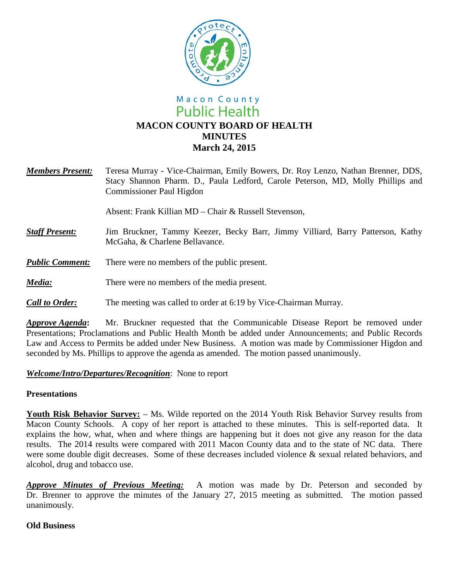

# Macon County **Public Health MACON COUNTY BOARD OF HEALTH MINUTES March 24, 2015**

*Members Present:* Teresa Murray - Vice-Chairman, Emily Bowers, Dr. Roy Lenzo, Nathan Brenner, DDS, Stacy Shannon Pharm. D., Paula Ledford, Carole Peterson, MD, Molly Phillips and Commissioner Paul Higdon

Absent: Frank Killian MD – Chair & Russell Stevenson,

- *Staff Present:*Jim Bruckner, Tammy Keezer, Becky Barr, Jimmy Villiard, Barry Patterson, Kathy McGaha, & Charlene Bellavance.
- *Public Comment:* There were no members of the public present.
- *Media:* There were no members of the media present.

### *Call to Order:* The meeting was called to order at 6:19 by Vice-Chairman Murray.

*Approve Agenda***:** Mr. Bruckner requested that the Communicable Disease Report be removed under Presentations; Proclamations and Public Health Month be added under Announcements; and Public Records Law and Access to Permits be added under New Business. A motion was made by Commissioner Higdon and seconded by Ms. Phillips to approve the agenda as amended. The motion passed unanimously.

#### *Welcome/Intro/Departures/Recognition*: None to report

#### **Presentations**

**Youth Risk Behavior Survey:** – Ms. Wilde reported on the 2014 Youth Risk Behavior Survey results from Macon County Schools. A copy of her report is attached to these minutes. This is self-reported data. It explains the how, what, when and where things are happening but it does not give any reason for the data results. The 2014 results were compared with 2011 Macon County data and to the state of NC data. There were some double digit decreases. Some of these decreases included violence & sexual related behaviors, and alcohol, drug and tobacco use.

*Approve Minutes of Previous Meeting:* A motion was made by Dr. Peterson and seconded by Dr. Brenner to approve the minutes of the January 27, 2015 meeting as submitted. The motion passed unanimously.

#### **Old Business**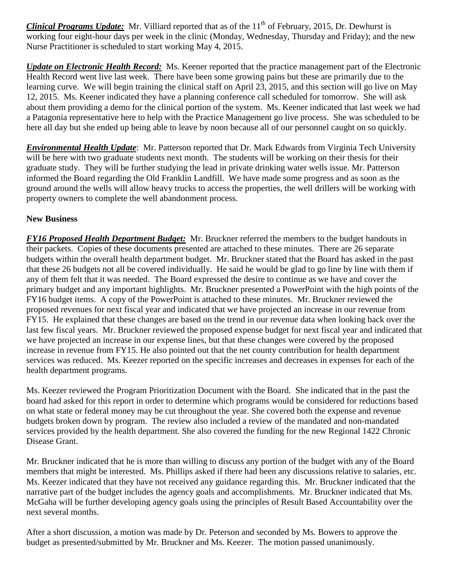*Clinical Programs Update:* Mr. Villiard reported that as of the 11<sup>th</sup> of February, 2015, Dr. Dewhurst is working four eight-hour days per week in the clinic (Monday, Wednesday, Thursday and Friday); and the new Nurse Practitioner is scheduled to start working May 4, 2015.

*Update on Electronic Health Record:* Ms. Keener reported that the practice management part of the Electronic Health Record went live last week. There have been some growing pains but these are primarily due to the learning curve. We will begin training the clinical staff on April 23, 2015, and this section will go live on May 12, 2015. Ms. Keener indicated they have a planning conference call scheduled for tomorrow. She will ask about them providing a demo for the clinical portion of the system. Ms. Keener indicated that last week we had a Patagonia representative here to help with the Practice Management go live process. She was scheduled to be here all day but she ended up being able to leave by noon because all of our personnel caught on so quickly.

*Environmental Health Update*: Mr. Patterson reported that Dr. Mark Edwards from Virginia Tech University will be here with two graduate students next month. The students will be working on their thesis for their graduate study. They will be further studying the lead in private drinking water wells issue. Mr. Patterson informed the Board regarding the Old Franklin Landfill. We have made some progress and as soon as the ground around the wells will allow heavy trucks to access the properties, the well drillers will be working with property owners to complete the well abandonment process.

## **New Business**

*FY16 Proposed Health Department Budget:* Mr. Bruckner referred the members to the budget handouts in their packets. Copies of these documents presented are attached to these minutes. There are 26 separate budgets within the overall health department budget. Mr. Bruckner stated that the Board has asked in the past that these 26 budgets not all be covered individually. He said he would be glad to go line by line with them if any of them felt that it was needed. The Board expressed the desire to continue as we have and cover the primary budget and any important highlights. Mr. Bruckner presented a PowerPoint with the high points of the FY16 budget items. A copy of the PowerPoint is attached to these minutes. Mr. Bruckner reviewed the proposed revenues for next fiscal year and indicated that we have projected an increase in our revenue from FY15. He explained that these changes are based on the trend in our revenue data when looking back over the last few fiscal years. Mr. Bruckner reviewed the proposed expense budget for next fiscal year and indicated that we have projected an increase in our expense lines, but that these changes were covered by the proposed increase in revenue from FY15. He also pointed out that the net county contribution for health department services was reduced. Ms. Keezer reported on the specific increases and decreases in expenses for each of the health department programs.

Ms. Keezer reviewed the Program Prioritization Document with the Board. She indicated that in the past the board had asked for this report in order to determine which programs would be considered for reductions based on what state or federal money may be cut throughout the year. She covered both the expense and revenue budgets broken down by program. The review also included a review of the mandated and non-mandated services provided by the health department. She also covered the funding for the new Regional 1422 Chronic Disease Grant.

Mr. Bruckner indicated that he is more than willing to discuss any portion of the budget with any of the Board members that might be interested. Ms. Phillips asked if there had been any discussions relative to salaries, etc. Ms. Keezer indicated that they have not received any guidance regarding this. Mr. Bruckner indicated that the narrative part of the budget includes the agency goals and accomplishments. Mr. Bruckner indicated that Ms. McGaha will be further developing agency goals using the principles of Result Based Accountability over the next several months.

After a short discussion, a motion was made by Dr. Peterson and seconded by Ms. Bowers to approve the budget as presented/submitted by Mr. Bruckner and Ms. Keezer. The motion passed unanimously.